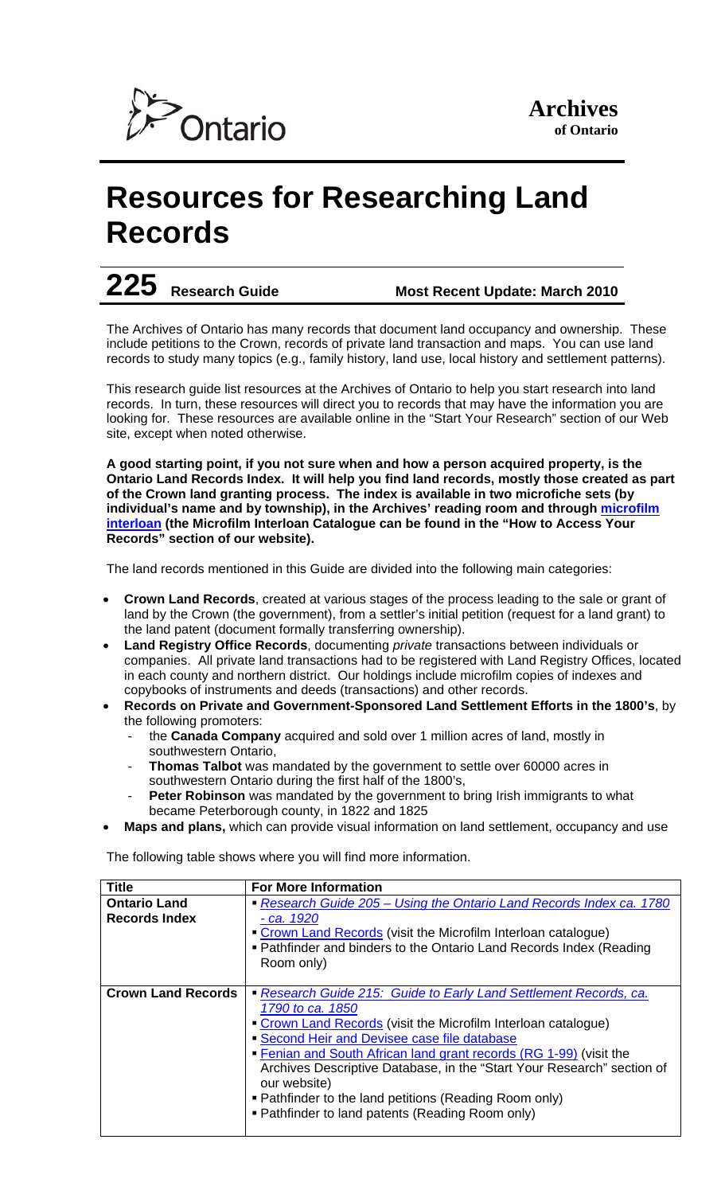

# **Resources for Researching Land Records**

## **225 Research Guide Most Recent Update: March 2010**

The Archives of Ontario has many records that document land occupancy and ownership. These include petitions to the Crown, records of private land transaction and maps. You can use land records to study many topics (e.g., family history, land use, local history and settlement patterns).

This research guide list resources at the Archives of Ontario to help you start research into land records. In turn, these resources will direct you to records that may have the information you are looking for. These resources are available online in the "Start Your Research" section of our Web site, except when noted otherwise.

**A good starting point, if you not sure when and how a person acquired property, is the Ontario Land Records Index. It will help you find land records, mostly those created as part of the Crown land granting process. The index is available in two microfiche sets (by individual's name and by township), in the Archives' reading room and through microfilm interloan (the Microfilm Interloan Catalogue can be found in the "How to Access Your Records" section of our website).** 

The land records mentioned in this Guide are divided into the following main categories:

- **Crown Land Records**, created at various stages of the process leading to the sale or grant of land by the Crown (the government), from a settler's initial petition (request for a land grant) to the land patent (document formally transferring ownership).
- **Land Registry Office Records**, documenting *private* transactions between individuals or companies. All private land transactions had to be registered with Land Registry Offices, located in each county and northern district. Our holdings include microfilm copies of indexes and copybooks of instruments and deeds (transactions) and other records.
- **Records on Private and Government-Sponsored Land Settlement Efforts in the 1800's**, by the following promoters:
	- the **Canada Company** acquired and sold over 1 million acres of land, mostly in southwestern Ontario,
	- Thomas Talbot was mandated by the government to settle over 60000 acres in southwestern Ontario during the first half of the 1800's,
	- **Peter Robinson** was mandated by the government to bring Irish immigrants to what became Peterborough county, in 1822 and 1825
- **Maps and plans,** which can provide visual information on land settlement, occupancy and use

The following table shows where you will find more information.

| <b>Title</b>              | <b>For More Information</b>                                            |
|---------------------------|------------------------------------------------------------------------|
| <b>Ontario Land</b>       | Research Guide 205 – Using the Ontario Land Records Index ca. 1780     |
| <b>Records Index</b>      | - ca. 1920                                                             |
|                           | • Crown Land Records (visit the Microfilm Interloan catalogue)         |
|                           | • Pathfinder and binders to the Ontario Land Records Index (Reading    |
|                           | Room only)                                                             |
|                           |                                                                        |
| <b>Crown Land Records</b> | Research Guide 215: Guide to Early Land Settlement Records, ca.        |
|                           | 1790 to ca. 1850                                                       |
|                           | • Crown Land Records (visit the Microfilm Interloan catalogue)         |
|                           | • Second Heir and Devisee case file database                           |
|                           | • Fenian and South African land grant records (RG 1-99) (visit the     |
|                           | Archives Descriptive Database, in the "Start Your Research" section of |
|                           | our website)                                                           |
|                           | • Pathfinder to the land petitions (Reading Room only)                 |
|                           | • Pathfinder to land patents (Reading Room only)                       |
|                           |                                                                        |